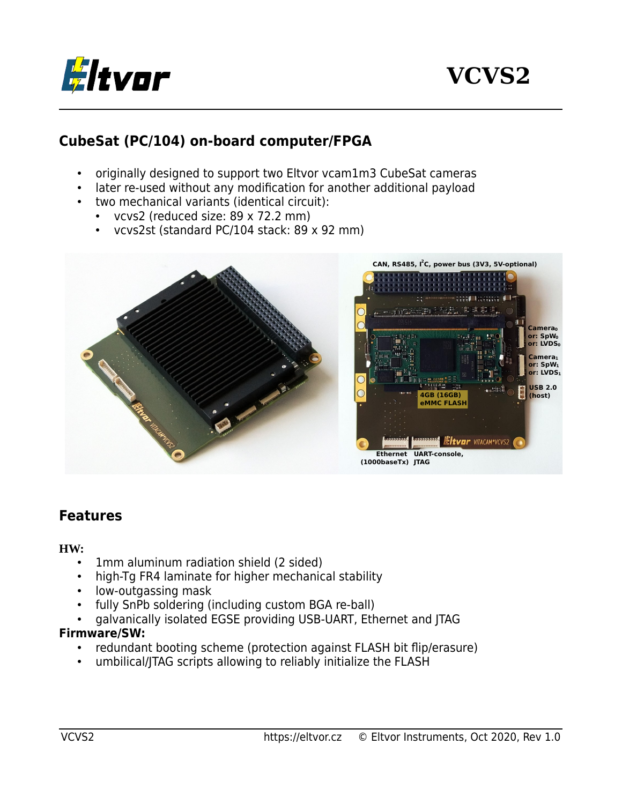

### **CubeSat (PC/104) on-board computer/FPGA**

- originally designed to support two Eltvor vcam1m3 CubeSat cameras
- later re-used without any modification for another additional payload
- two mechanical variants (identical circuit):
	- vcvs2 (reduced size: 89 x 72.2 mm)
	- vcvs2st (standard PC/104 stack: 89 x 92 mm)



#### **Features**

#### **HW:**

- 1mm aluminum radiation shield (2 sided)
- high-Tg FR4 laminate for higher mechanical stability
- low-outgassing mask
- fully SnPb soldering (including custom BGA re-ball)
- galvanically isolated EGSE providing USB-UART, Ethernet and JTAG

#### **Firmware/SW:**

- redundant booting scheme (protection against FLASH bit flip/erasure)
- umbilical/JTAG scripts allowing to reliably initialize the FLASH